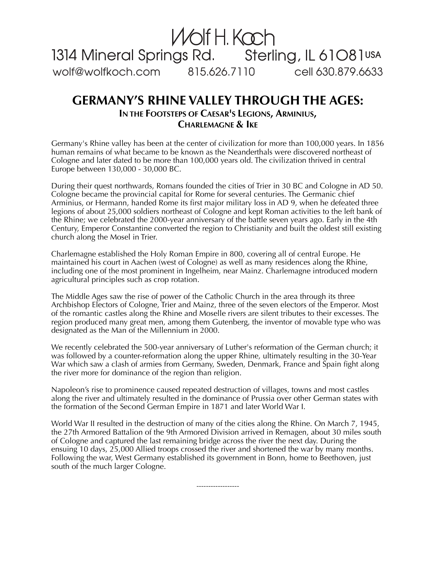

## **GERMANY'S RHINE VALLEY THROUGH THE AGES: IN THE FOOTSTEPS OF CAESAR'S LEGIONS, ARMINIUS, CHARLEMAGNE & IKE**

Germany's Rhine valley has been at the center of civilization for more than 100,000 years. In 1856 human remains of what became to be known as the Neanderthals were discovered northeast of Cologne and later dated to be more than 100,000 years old. The civilization thrived in central Europe between 130,000 - 30,000 BC.

During their quest northwards, Romans founded the cities of Trier in 30 BC and Cologne in AD 50. Cologne became the provincial capital for Rome for several centuries. The Germanic chief Arminius, or Hermann, handed Rome its first major military loss in AD 9, when he defeated three legions of about 25,000 soldiers northeast of Cologne and kept Roman activities to the left bank of the Rhine; we celebrated the 2000-year anniversary of the battle seven years ago. Early in the 4th Century, Emperor Constantine converted the region to Christianity and built the oldest still existing church along the Mosel in Trier.

Charlemagne established the Holy Roman Empire in 800, covering all of central Europe. He maintained his court in Aachen (west of Cologne) as well as many residences along the Rhine, including one of the most prominent in Ingelheim, near Mainz. Charlemagne introduced modern agricultural principles such as crop rotation.

The Middle Ages saw the rise of power of the Catholic Church in the area through its three Archbishop Electors of Cologne, Trier and Mainz, three of the seven electors of the Emperor. Most of the romantic castles along the Rhine and Moselle rivers are silent tributes to their excesses. The region produced many great men, among them Gutenberg, the inventor of movable type who was designated as the Man of the Millennium in 2000.

We recently celebrated the 500-year anniversary of Luther's reformation of the German church; it was followed by a counter-reformation along the upper Rhine, ultimately resulting in the 30-Year War which saw a clash of armies from Germany, Sweden, Denmark, France and Spain fight along the river more for dominance of the region than religion.

Napoleon's rise to prominence caused repeated destruction of villages, towns and most castles along the river and ultimately resulted in the dominance of Prussia over other German states with the formation of the Second German Empire in 1871 and later World War I.

World War II resulted in the destruction of many of the cities along the Rhine. On March 7, 1945, the 27th Armored Battalion of the 9th Armored Division arrived in Remagen, about 30 miles south of Cologne and captured the last remaining bridge across the river the next day. During the ensuing 10 days, 25,000 Allied troops crossed the river and shortened the war by many months. Following the war, West Germany established its government in Bonn, home to Beethoven, just south of the much larger Cologne.

------------------